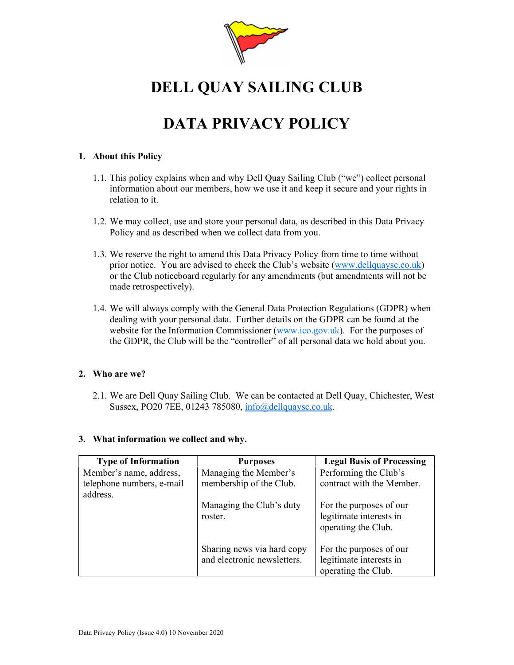

# DELL QUAY SAILING CLUB

# DATA PRIVACY POLICY

#### 1. About this Policy

- 1.1. This policy explains when and why Dell Quay Sailing Club ("we") collect personal information about our members, how we use it and keep it secure and your rights in relation to it.
- 1.2. We may collect, use and store your personal data, as described in this Data Privacy Policy and as described when we collect data from you.
- 1.3. We reserve the right to amend this Data Privacy Policy from time to time without prior notice. You are advised to check the Club's website (www.dellquaysc.co.uk) or the Club noticeboard regularly for any amendments (but amendments will not be made retrospectively).
- 1.4. We will always comply with the General Data Protection Regulations (GDPR) when dealing with your personal data. Further details on the GDPR can be found at the website for the Information Commissioner (www.ico.gov.uk). For the purposes of the GDPR, the Club will be the "controller" of all personal data we hold about you.

#### 2. Who are we?

2.1. We are Dell Quay Sailing Club. We can be contacted at Dell Quay, Chichester, West Sussex, PO20 7EE, 01243 785080, info@dellquaysc.co.uk.

#### 3. What information we collect and why.

| <b>Type of Information</b>            | <b>Purposes</b>                                           | <b>Legal Basis of Processing</b>                                          |
|---------------------------------------|-----------------------------------------------------------|---------------------------------------------------------------------------|
| Member's name, address,               | Managing the Member's                                     | Performing the Club's                                                     |
| telephone numbers, e-mail<br>address. | membership of the Club.                                   | contract with the Member.                                                 |
|                                       | Managing the Club's duty<br>roster.                       | For the purposes of our<br>legitimate interests in<br>operating the Club. |
|                                       | Sharing news via hard copy<br>and electronic newsletters. | For the purposes of our<br>legitimate interests in<br>operating the Club. |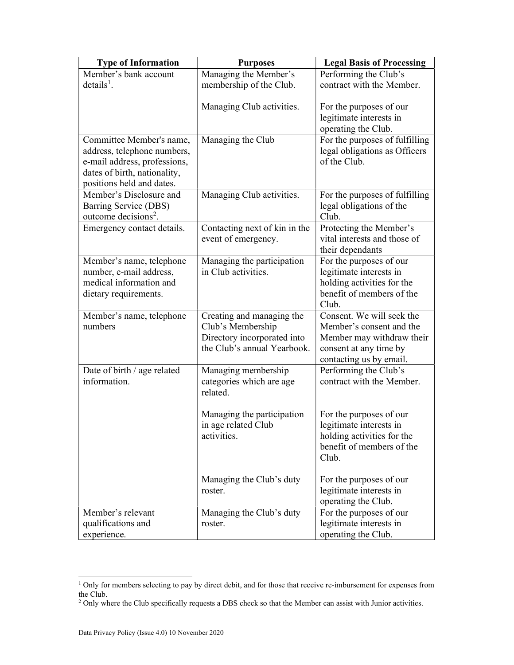| <b>Type of Information</b>                                                                                                                           | <b>Purposes</b>                                                                                              | <b>Legal Basis of Processing</b>                                                                                                        |
|------------------------------------------------------------------------------------------------------------------------------------------------------|--------------------------------------------------------------------------------------------------------------|-----------------------------------------------------------------------------------------------------------------------------------------|
| Member's bank account                                                                                                                                | Managing the Member's                                                                                        | Performing the Club's                                                                                                                   |
| $details1$ .                                                                                                                                         | membership of the Club.                                                                                      | contract with the Member.                                                                                                               |
|                                                                                                                                                      | Managing Club activities.                                                                                    | For the purposes of our<br>legitimate interests in<br>operating the Club.                                                               |
| Committee Member's name,<br>address, telephone numbers,<br>e-mail address, professions,<br>dates of birth, nationality,<br>positions held and dates. | Managing the Club                                                                                            | For the purposes of fulfilling<br>legal obligations as Officers<br>of the Club.                                                         |
| Member's Disclosure and<br>Barring Service (DBS)<br>outcome decisions <sup>2</sup> .                                                                 | Managing Club activities.                                                                                    | For the purposes of fulfilling<br>legal obligations of the<br>Club.                                                                     |
| Emergency contact details.                                                                                                                           | Contacting next of kin in the<br>event of emergency.                                                         | Protecting the Member's<br>vital interests and those of<br>their dependants                                                             |
| Member's name, telephone<br>number, e-mail address,<br>medical information and<br>dietary requirements.                                              | Managing the participation<br>in Club activities.                                                            | For the purposes of our<br>legitimate interests in<br>holding activities for the<br>benefit of members of the<br>Club.                  |
| Member's name, telephone<br>numbers                                                                                                                  | Creating and managing the<br>Club's Membership<br>Directory incorporated into<br>the Club's annual Yearbook. | Consent. We will seek the<br>Member's consent and the<br>Member may withdraw their<br>consent at any time by<br>contacting us by email. |
| Date of birth / age related<br>information.                                                                                                          | Managing membership<br>categories which are age<br>related.                                                  | Performing the Club's<br>contract with the Member.                                                                                      |
|                                                                                                                                                      | Managing the participation<br>in age related Club<br>activities.                                             | For the purposes of our<br>legitimate interests in<br>holding activities for the<br>benefit of members of the<br>Club.                  |
|                                                                                                                                                      | Managing the Club's duty<br>roster.                                                                          | For the purposes of our<br>legitimate interests in<br>operating the Club.                                                               |
| Member's relevant<br>qualifications and<br>experience.                                                                                               | Managing the Club's duty<br>roster.                                                                          | For the purposes of our<br>legitimate interests in<br>operating the Club.                                                               |

<sup>&</sup>lt;sup>1</sup> Only for members selecting to pay by direct debit, and for those that receive re-imbursement for expenses from the Club.<br><sup>2</sup> Only where the Club specifically requests a DBS check so that the Member can assist with Junior activities.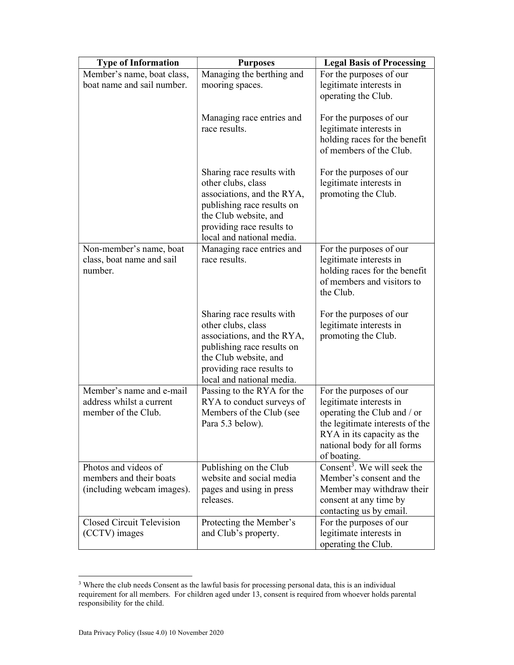| <b>Type of Information</b>                                      | <b>Purposes</b>                                                                                                                                                                                | <b>Legal Basis of Processing</b>                                                                                               |
|-----------------------------------------------------------------|------------------------------------------------------------------------------------------------------------------------------------------------------------------------------------------------|--------------------------------------------------------------------------------------------------------------------------------|
| Member's name, boat class,                                      | Managing the berthing and                                                                                                                                                                      | For the purposes of our                                                                                                        |
| boat name and sail number.                                      | mooring spaces.                                                                                                                                                                                | legitimate interests in                                                                                                        |
|                                                                 |                                                                                                                                                                                                | operating the Club.                                                                                                            |
|                                                                 | Managing race entries and<br>race results.                                                                                                                                                     | For the purposes of our<br>legitimate interests in<br>holding races for the benefit<br>of members of the Club.                 |
|                                                                 | Sharing race results with<br>other clubs, class<br>associations, and the RYA,<br>publishing race results on<br>the Club website, and<br>providing race results to<br>local and national media. | For the purposes of our<br>legitimate interests in<br>promoting the Club.                                                      |
| Non-member's name, boat<br>class, boat name and sail<br>number. | Managing race entries and<br>race results.                                                                                                                                                     | For the purposes of our<br>legitimate interests in<br>holding races for the benefit<br>of members and visitors to<br>the Club. |
|                                                                 | Sharing race results with<br>other clubs, class<br>associations, and the RYA,<br>publishing race results on<br>the Club website, and<br>providing race results to<br>local and national media. | For the purposes of our<br>legitimate interests in<br>promoting the Club.                                                      |
| Member's name and e-mail                                        | Passing to the RYA for the                                                                                                                                                                     | For the purposes of our                                                                                                        |
| address whilst a current                                        | RYA to conduct surveys of                                                                                                                                                                      | legitimate interests in                                                                                                        |
| member of the Club.                                             | Members of the Club (see                                                                                                                                                                       | operating the Club and / or                                                                                                    |
|                                                                 | Para 5.3 below).                                                                                                                                                                               | the legitimate interests of the<br>RYA in its capacity as the                                                                  |
|                                                                 |                                                                                                                                                                                                | national body for all forms<br>of boating.                                                                                     |
| Photos and videos of                                            | Publishing on the Club                                                                                                                                                                         | Consent <sup>3</sup> . We will seek the                                                                                        |
| members and their boats                                         | website and social media                                                                                                                                                                       | Member's consent and the                                                                                                       |
| (including webcam images).                                      | pages and using in press                                                                                                                                                                       | Member may withdraw their                                                                                                      |
|                                                                 | releases.                                                                                                                                                                                      | consent at any time by                                                                                                         |
| <b>Closed Circuit Television</b>                                | Protecting the Member's                                                                                                                                                                        | contacting us by email.<br>For the purposes of our                                                                             |
| (CCTV) images                                                   | and Club's property.                                                                                                                                                                           | legitimate interests in                                                                                                        |
|                                                                 |                                                                                                                                                                                                | operating the Club.                                                                                                            |

<sup>&</sup>lt;sup>3</sup> Where the club needs Consent as the lawful basis for processing personal data, this is an individual requirement for all members. For children aged under 13, consent is required from whoever holds parental responsibility for the child.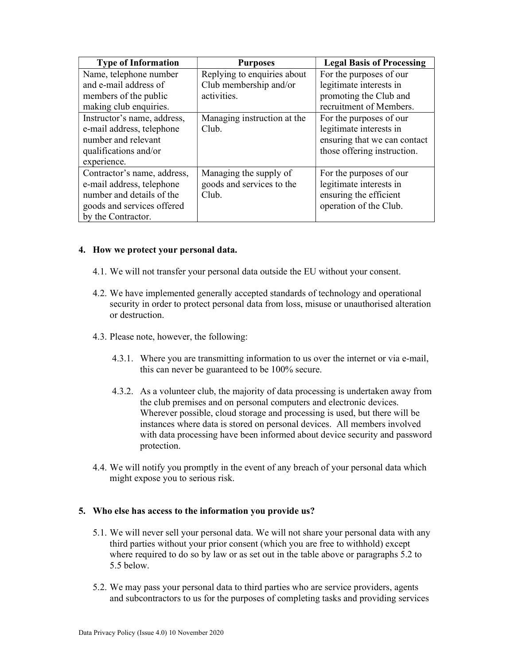| <b>Type of Information</b>  | <b>Purposes</b>             | <b>Legal Basis of Processing</b> |
|-----------------------------|-----------------------------|----------------------------------|
| Name, telephone number      | Replying to enquiries about | For the purposes of our          |
| and e-mail address of       | Club membership and/or      | legitimate interests in          |
| members of the public       | activities.                 | promoting the Club and           |
| making club enquiries.      |                             | recruitment of Members.          |
| Instructor's name, address, | Managing instruction at the | For the purposes of our          |
| e-mail address, telephone   | Club.                       | legitimate interests in          |
| number and relevant         |                             | ensuring that we can contact     |
| qualifications and/or       |                             | those offering instruction.      |
| experience.                 |                             |                                  |
| Contractor's name, address, | Managing the supply of      | For the purposes of our          |
| e-mail address, telephone   | goods and services to the   | legitimate interests in          |
| number and details of the   | Club.                       | ensuring the efficient           |
| goods and services offered  |                             | operation of the Club.           |
| by the Contractor.          |                             |                                  |

### 4. How we protect your personal data.

- 4.1. We will not transfer your personal data outside the EU without your consent.
- 4.2. We have implemented generally accepted standards of technology and operational security in order to protect personal data from loss, misuse or unauthorised alteration or destruction.
- 4.3. Please note, however, the following:
	- 4.3.1. Where you are transmitting information to us over the internet or via e-mail, this can never be guaranteed to be 100% secure.
	- 4.3.2. As a volunteer club, the majority of data processing is undertaken away from the club premises and on personal computers and electronic devices. Wherever possible, cloud storage and processing is used, but there will be instances where data is stored on personal devices. All members involved with data processing have been informed about device security and password protection.
- 4.4. We will notify you promptly in the event of any breach of your personal data which might expose you to serious risk.

#### 5. Who else has access to the information you provide us?

- 5.1. We will never sell your personal data. We will not share your personal data with any third parties without your prior consent (which you are free to withhold) except where required to do so by law or as set out in the table above or paragraphs 5.2 to 5.5 below.
- 5.2. We may pass your personal data to third parties who are service providers, agents and subcontractors to us for the purposes of completing tasks and providing services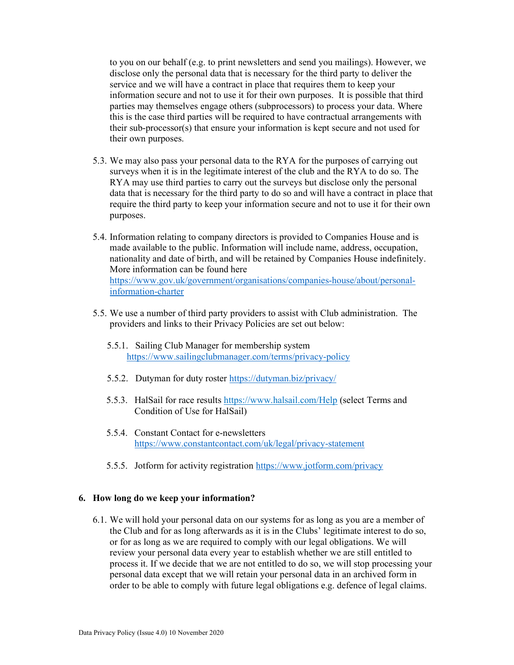to you on our behalf (e.g. to print newsletters and send you mailings). However, we disclose only the personal data that is necessary for the third party to deliver the service and we will have a contract in place that requires them to keep your information secure and not to use it for their own purposes. It is possible that third parties may themselves engage others (subprocessors) to process your data. Where this is the case third parties will be required to have contractual arrangements with their sub-processor(s) that ensure your information is kept secure and not used for their own purposes.

- 5.3. We may also pass your personal data to the RYA for the purposes of carrying out surveys when it is in the legitimate interest of the club and the RYA to do so. The RYA may use third parties to carry out the surveys but disclose only the personal data that is necessary for the third party to do so and will have a contract in place that require the third party to keep your information secure and not to use it for their own purposes.
- 5.4. Information relating to company directors is provided to Companies House and is made available to the public. Information will include name, address, occupation, nationality and date of birth, and will be retained by Companies House indefinitely. More information can be found here https://www.gov.uk/government/organisations/companies-house/about/personalinformation-charter
- 5.5. We use a number of third party providers to assist with Club administration. The providers and links to their Privacy Policies are set out below:
	- 5.5.1. Sailing Club Manager for membership system https://www.sailingclubmanager.com/terms/privacy-policy
	- 5.5.2. Dutyman for duty roster https://dutyman.biz/privacy/
	- 5.5.3. HalSail for race results https://www.halsail.com/Help (select Terms and Condition of Use for HalSail)
	- 5.5.4. Constant Contact for e-newsletters https://www.constantcontact.com/uk/legal/privacy-statement
	- 5.5.5. Jotform for activity registration https://www.jotform.com/privacy

#### 6. How long do we keep your information?

6.1. We will hold your personal data on our systems for as long as you are a member of the Club and for as long afterwards as it is in the Clubs' legitimate interest to do so, or for as long as we are required to comply with our legal obligations. We will review your personal data every year to establish whether we are still entitled to process it. If we decide that we are not entitled to do so, we will stop processing your personal data except that we will retain your personal data in an archived form in order to be able to comply with future legal obligations e.g. defence of legal claims.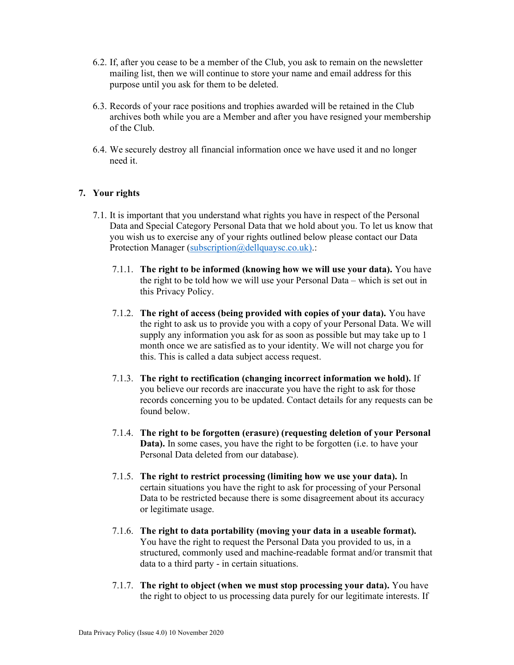- 6.2. If, after you cease to be a member of the Club, you ask to remain on the newsletter mailing list, then we will continue to store your name and email address for this purpose until you ask for them to be deleted.
- 6.3. Records of your race positions and trophies awarded will be retained in the Club archives both while you are a Member and after you have resigned your membership of the Club.
- 6.4. We securely destroy all financial information once we have used it and no longer need it.

## 7. Your rights

- 7.1. It is important that you understand what rights you have in respect of the Personal Data and Special Category Personal Data that we hold about you. To let us know that you wish us to exercise any of your rights outlined below please contact our Data Protection Manager (subscription@dellquaysc.co.uk).:
	- 7.1.1. The right to be informed (knowing how we will use your data). You have the right to be told how we will use your Personal Data – which is set out in this Privacy Policy.
	- 7.1.2. The right of access (being provided with copies of your data). You have the right to ask us to provide you with a copy of your Personal Data. We will supply any information you ask for as soon as possible but may take up to 1 month once we are satisfied as to your identity. We will not charge you for this. This is called a data subject access request.
	- 7.1.3. The right to rectification (changing incorrect information we hold). If you believe our records are inaccurate you have the right to ask for those records concerning you to be updated. Contact details for any requests can be found below.
	- 7.1.4. The right to be forgotten (erasure) (requesting deletion of your Personal Data). In some cases, you have the right to be forgotten (i.e. to have your Personal Data deleted from our database).
	- 7.1.5. The right to restrict processing (limiting how we use your data). In certain situations you have the right to ask for processing of your Personal Data to be restricted because there is some disagreement about its accuracy or legitimate usage.
	- 7.1.6. The right to data portability (moving your data in a useable format). You have the right to request the Personal Data you provided to us, in a structured, commonly used and machine-readable format and/or transmit that data to a third party - in certain situations.
	- 7.1.7. The right to object (when we must stop processing your data). You have the right to object to us processing data purely for our legitimate interests. If